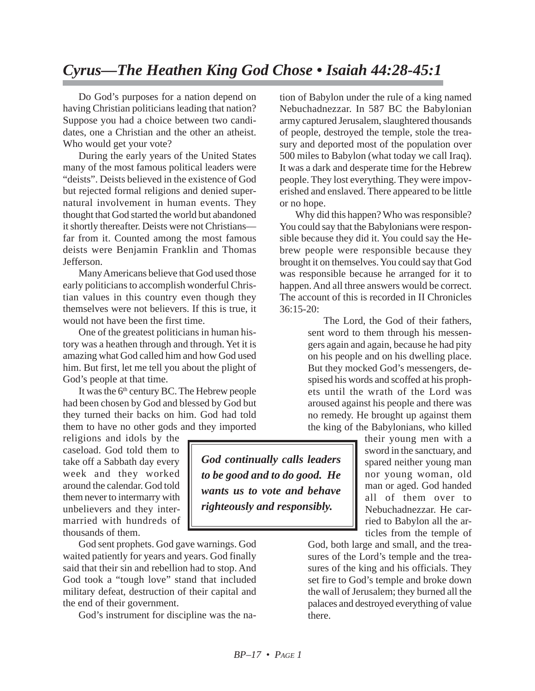## *Cyrus—The Heathen King God Chose • Isaiah 44:28-45:1*

Do God's purposes for a nation depend on having Christian politicians leading that nation? Suppose you had a choice between two candidates, one a Christian and the other an atheist. Who would get your vote?

During the early years of the United States many of the most famous political leaders were "deists". Deists believed in the existence of God but rejected formal religions and denied supernatural involvement in human events. They thought that God started the world but abandoned it shortly thereafter. Deists were not Christians far from it. Counted among the most famous deists were Benjamin Franklin and Thomas Jefferson.

Many Americans believe that God used those early politicians to accomplish wonderful Christian values in this country even though they themselves were not believers. If this is true, it would not have been the first time.

One of the greatest politicians in human history was a heathen through and through. Yet it is amazing what God called him and how God used him. But first, let me tell you about the plight of God's people at that time.

It was the 6<sup>th</sup> century BC. The Hebrew people had been chosen by God and blessed by God but they turned their backs on him. God had told them to have no other gods and they imported

religions and idols by the caseload. God told them to take off a Sabbath day every week and they worked around the calendar. God told them never to intermarry with unbelievers and they intermarried with hundreds of thousands of them.

God sent prophets. God gave warnings. God waited patiently for years and years. God finally said that their sin and rebellion had to stop. And God took a "tough love" stand that included military defeat, destruction of their capital and the end of their government.

God's instrument for discipline was the na-

tion of Babylon under the rule of a king named Nebuchadnezzar. In 587 BC the Babylonian army captured Jerusalem, slaughtered thousands of people, destroyed the temple, stole the treasury and deported most of the population over 500 miles to Babylon (what today we call Iraq). It was a dark and desperate time for the Hebrew people. They lost everything. They were impoverished and enslaved. There appeared to be little or no hope.

Why did this happen? Who was responsible? You could say that the Babylonians were responsible because they did it. You could say the Hebrew people were responsible because they brought it on themselves. You could say that God was responsible because he arranged for it to happen. And all three answers would be correct. The account of this is recorded in II Chronicles  $36:15-20$ 

> The Lord, the God of their fathers, sent word to them through his messengers again and again, because he had pity on his people and on his dwelling place. But they mocked God's messengers, despised his words and scoffed at his prophets until the wrath of the Lord was aroused against his people and there was no remedy. He brought up against them the king of the Babylonians, who killed

their young men with a sword in the sanctuary, and spared neither young man nor young woman, old man or aged. God handed all of them over to Nebuchadnezzar. He carried to Babylon all the articles from the temple of

God, both large and small, and the treasures of the Lord's temple and the treasures of the king and his officials. They set fire to God's temple and broke down the wall of Jerusalem; they burned all the palaces and destroyed everything of value there.

*God continually calls leaders to be good and to do good. He wants us to vote and behave righteously and responsibly.*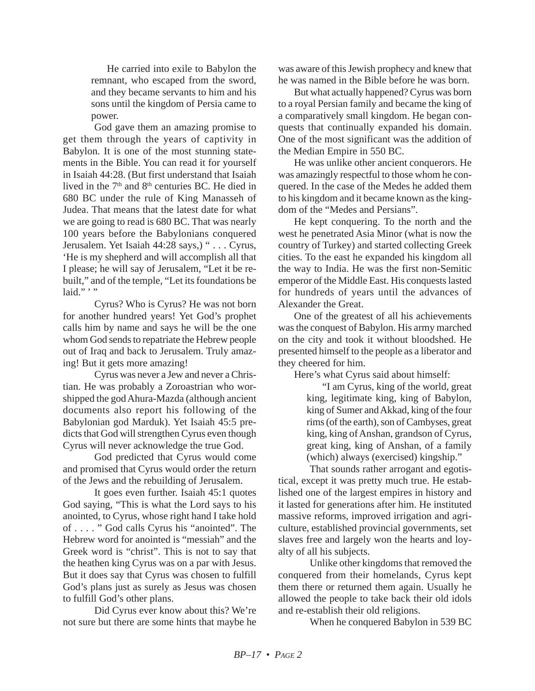He carried into exile to Babylon the remnant, who escaped from the sword, and they became servants to him and his sons until the kingdom of Persia came to power.

God gave them an amazing promise to get them through the years of captivity in Babylon. It is one of the most stunning statements in the Bible. You can read it for yourself in Isaiah 44:28. (But first understand that Isaiah lived in the  $7<sup>th</sup>$  and  $8<sup>th</sup>$  centuries BC. He died in 680 BC under the rule of King Manasseh of Judea. That means that the latest date for what we are going to read is 680 BC. That was nearly 100 years before the Babylonians conquered Jerusalem. Yet Isaiah 44:28 says,) " . . . Cyrus, 'He is my shepherd and will accomplish all that I please; he will say of Jerusalem, "Let it be rebuilt," and of the temple, "Let its foundations be laid." $''$ 

Cyrus? Who is Cyrus? He was not born for another hundred years! Yet God's prophet calls him by name and says he will be the one whom God sends to repatriate the Hebrew people out of Iraq and back to Jerusalem. Truly amazing! But it gets more amazing!

Cyrus was never a Jew and never a Christian. He was probably a Zoroastrian who worshipped the god Ahura-Mazda (although ancient documents also report his following of the Babylonian god Marduk). Yet Isaiah 45:5 predicts that God will strengthen Cyrus even though Cyrus will never acknowledge the true God.

God predicted that Cyrus would come and promised that Cyrus would order the return of the Jews and the rebuilding of Jerusalem.

It goes even further. Isaiah 45:1 quotes God saying, "This is what the Lord says to his anointed, to Cyrus, whose right hand I take hold of . . . . " God calls Cyrus his "anointed". The Hebrew word for anointed is "messiah" and the Greek word is "christ". This is not to say that the heathen king Cyrus was on a par with Jesus. But it does say that Cyrus was chosen to fulfill God's plans just as surely as Jesus was chosen to fulfill God's other plans.

Did Cyrus ever know about this? We're not sure but there are some hints that maybe he was aware of this Jewish prophecy and knew that he was named in the Bible before he was born.

But what actually happened? Cyrus was born to a royal Persian family and became the king of a comparatively small kingdom. He began conquests that continually expanded his domain. One of the most significant was the addition of the Median Empire in 550 BC.

He was unlike other ancient conquerors. He was amazingly respectful to those whom he conquered. In the case of the Medes he added them to his kingdom and it became known as the kingdom of the "Medes and Persians".

He kept conquering. To the north and the west he penetrated Asia Minor (what is now the country of Turkey) and started collecting Greek cities. To the east he expanded his kingdom all the way to India. He was the first non-Semitic emperor of the Middle East. His conquests lasted for hundreds of years until the advances of Alexander the Great.

One of the greatest of all his achievements was the conquest of Babylon. His army marched on the city and took it without bloodshed. He presented himself to the people as a liberator and they cheered for him.

Here's what Cyrus said about himself:

"I am Cyrus, king of the world, great king, legitimate king, king of Babylon, king of Sumer and Akkad, king of the four rims (of the earth), son of Cambyses, great king, king of Anshan, grandson of Cyrus, great king, king of Anshan, of a family (which) always (exercised) kingship."

That sounds rather arrogant and egotistical, except it was pretty much true. He established one of the largest empires in history and it lasted for generations after him. He instituted massive reforms, improved irrigation and agriculture, established provincial governments, set slaves free and largely won the hearts and loyalty of all his subjects.

Unlike other kingdoms that removed the conquered from their homelands, Cyrus kept them there or returned them again. Usually he allowed the people to take back their old idols and re-establish their old religions.

When he conquered Babylon in 539 BC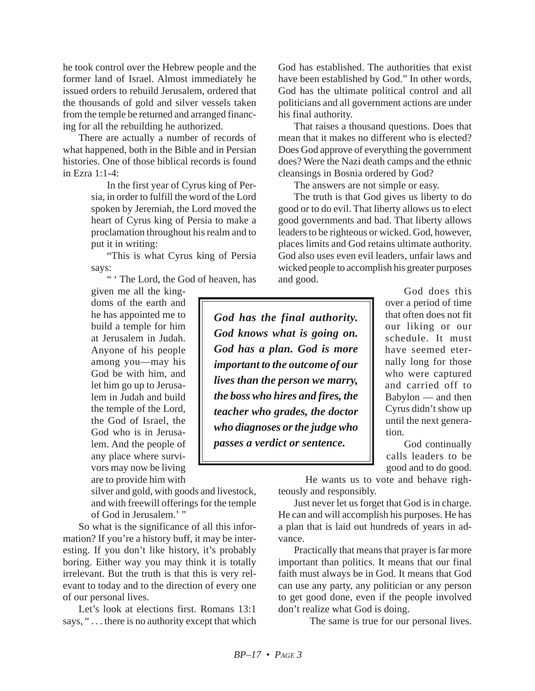he took control over the Hebrew people and the former land of Israel. Almost immediately he issued orders to rebuild Jerusalem, ordered that the thousands of gold and silver vessels taken from the temple be returned and arranged financing for all the rebuilding he authorized.

There are actually a number of records of what happened, both in the Bible and in Persian histories. One of those biblical records is found in Ezra 1:1-4:

> In the first year of Cyrus king of Persia, in order to fulfill the word of the Lord spoken by Jeremiah, the Lord moved the heart of Cyrus king of Persia to make a proclamation throughout his realm and to put it in writing:

> "This is what Cyrus king of Persia says:

" ' The Lord, the God of heaven, has

given me all the kingdoms of the earth and he has appointed me to build a temple for him at Jerusalem in Judah. Anyone of his people among you—may his God be with him, and let him go up to Jerusalem in Judah and build the temple of the Lord, the God of Israel, the God who is in Jerusalem. And the people of any place where survivors may now be living are to provide him with

silver and gold, with goods and livestock, and with freewill offerings for the temple of God in Jerusalem.' "

So what is the significance of all this information? If you're a history buff, it may be interesting. If you don't like history, it's probably boring. Either way you may think it is totally irrelevant. But the truth is that this is very relevant to today and to the direction of every one of our personal lives.

Let's look at elections first. Romans 13:1 says, " . . . there is no authority except that which God has established. The authorities that exist have been established by God." In other words, God has the ultimate political control and all politicians and all government actions are under his final authority.

That raises a thousand questions. Does that mean that it makes no different who is elected? Does God approve of everything the government does? Were the Nazi death camps and the ethnic cleansings in Bosnia ordered by God?

The answers are not simple or easy.

The truth is that God gives us liberty to do good or to do evil. That liberty allows us to elect good governments and bad. That liberty allows leaders to be righteous or wicked. God, however, places limits and God retains ultimate authority. God also uses even evil leaders, unfair laws and wicked people to accomplish his greater purposes and good.

*God has the final authority. God knows what is going on. God has a plan. God is more important to the outcome of our lives than the person we marry, the boss who hires and fires, the teacher who grades, the doctor who diagnoses or the judge who passes a verdict or sentence.*

God does this over a period of time that often does not fit our liking or our schedule. It must have seemed eternally long for those who were captured and carried off to Babylon — and then Cyrus didn't show up until the next generation.

God continually calls leaders to be good and to do good.

He wants us to vote and behave righteously and responsibly.

Just never let us forget that God is in charge. He can and will accomplish his purposes. He has a plan that is laid out hundreds of years in advance.

Practically that means that prayer is far more important than politics. It means that our final faith must always be in God. It means that God can use any party, any politician or any person to get good done, even if the people involved don't realize what God is doing.

The same is true for our personal lives.